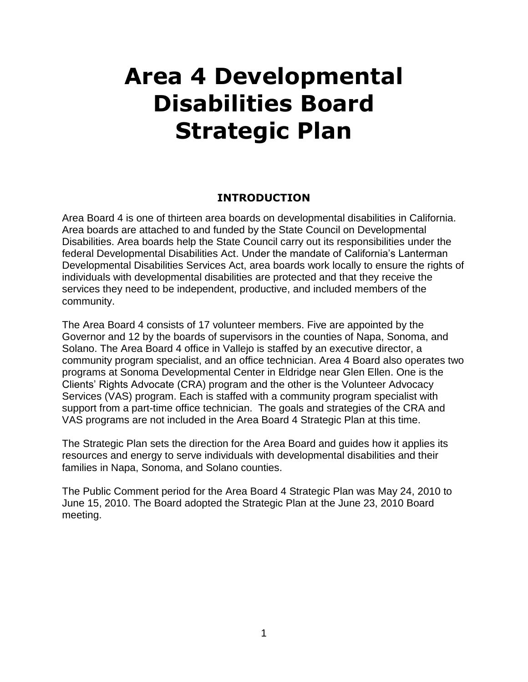# **Area 4 Developmental Disabilities Board Strategic Plan**

#### **INTRODUCTION**

Area Board 4 is one of thirteen area boards on developmental disabilities in California. Area boards are attached to and funded by the State Council on Developmental Disabilities. Area boards help the State Council carry out its responsibilities under the federal Developmental Disabilities Act. Under the mandate of California"s Lanterman Developmental Disabilities Services Act, area boards work locally to ensure the rights of individuals with developmental disabilities are protected and that they receive the services they need to be independent, productive, and included members of the community.

The Area Board 4 consists of 17 volunteer members. Five are appointed by the Governor and 12 by the boards of supervisors in the counties of Napa, Sonoma, and Solano. The Area Board 4 office in Vallejo is staffed by an executive director, a community program specialist, and an office technician. Area 4 Board also operates two programs at Sonoma Developmental Center in Eldridge near Glen Ellen. One is the Clients" Rights Advocate (CRA) program and the other is the Volunteer Advocacy Services (VAS) program. Each is staffed with a community program specialist with support from a part-time office technician. The goals and strategies of the CRA and VAS programs are not included in the Area Board 4 Strategic Plan at this time.

The Strategic Plan sets the direction for the Area Board and guides how it applies its resources and energy to serve individuals with developmental disabilities and their families in Napa, Sonoma, and Solano counties.

The Public Comment period for the Area Board 4 Strategic Plan was May 24, 2010 to June 15, 2010. The Board adopted the Strategic Plan at the June 23, 2010 Board meeting.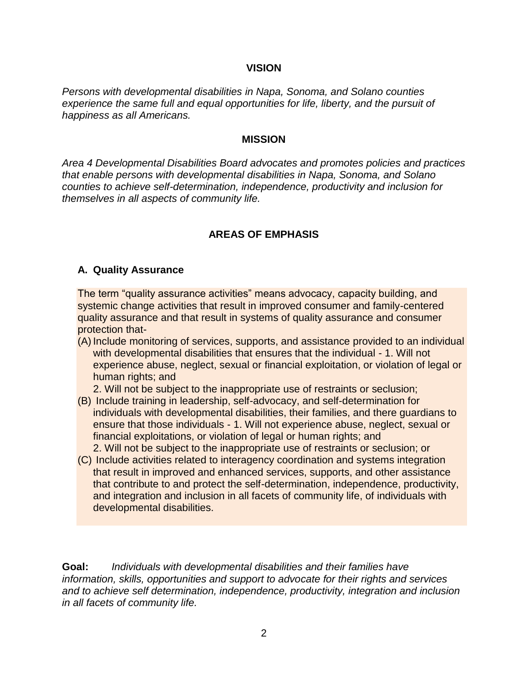#### **VISION**

*Persons with developmental disabilities in Napa, Sonoma, and Solano counties experience the same full and equal opportunities for life, liberty, and the pursuit of happiness as all Americans.*

#### **MISSION**

*Area 4 Developmental Disabilities Board advocates and promotes policies and practices that enable persons with developmental disabilities in Napa, Sonoma, and Solano counties to achieve self-determination, independence, productivity and inclusion for themselves in all aspects of community life.* 

#### **AREAS OF EMPHASIS**

#### **A. Quality Assurance**

The term "quality assurance activities" means advocacy, capacity building, and systemic change activities that result in improved consumer and family-centered quality assurance and that result in systems of quality assurance and consumer protection that-

(A) Include monitoring of services, supports, and assistance provided to an individual with developmental disabilities that ensures that the individual - 1. Will not experience abuse, neglect, sexual or financial exploitation, or violation of legal or human rights; and

2. Will not be subject to the inappropriate use of restraints or seclusion;

(B) Include training in leadership, self-advocacy, and self-determination for individuals with developmental disabilities, their families, and there guardians to ensure that those individuals - 1. Will not experience abuse, neglect, sexual or financial exploitations, or violation of legal or human rights; and

2. Will not be subject to the inappropriate use of restraints or seclusion; or

(C) Include activities related to interagency coordination and systems integration that result in improved and enhanced services, supports, and other assistance that contribute to and protect the self-determination, independence, productivity, and integration and inclusion in all facets of community life, of individuals with developmental disabilities.

**Goal:** *Individuals with developmental disabilities and their families have information, skills, opportunities and support to advocate for their rights and services and to achieve self determination, independence, productivity, integration and inclusion in all facets of community life.*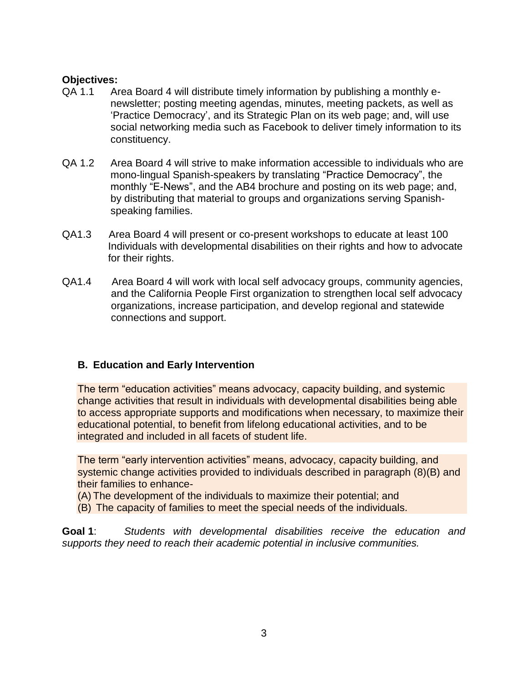- QA 1.1 Area Board 4 will distribute timely information by publishing a monthly enewsletter; posting meeting agendas, minutes, meeting packets, as well as "Practice Democracy", and its Strategic Plan on its web page; and, will use social networking media such as Facebook to deliver timely information to its constituency.
- QA 1.2 Area Board 4 will strive to make information accessible to individuals who are mono-lingual Spanish-speakers by translating "Practice Democracy", the monthly "E-News", and the AB4 brochure and posting on its web page; and, by distributing that material to groups and organizations serving Spanishspeaking families.
- QA1.3 Area Board 4 will present or co-present workshops to educate at least 100 Individuals with developmental disabilities on their rights and how to advocate for their rights.
- QA1.4 Area Board 4 will work with local self advocacy groups, community agencies, and the California People First organization to strengthen local self advocacy organizations, increase participation, and develop regional and statewide connections and support.

## **B. Education and Early Intervention**

The term "education activities" means advocacy, capacity building, and systemic change activities that result in individuals with developmental disabilities being able to access appropriate supports and modifications when necessary, to maximize their educational potential, to benefit from lifelong educational activities, and to be integrated and included in all facets of student life.

The term "early intervention activities" means, advocacy, capacity building, and systemic change activities provided to individuals described in paragraph (8)(B) and their families to enhance-

(A) The development of the individuals to maximize their potential; and

(B) The capacity of families to meet the special needs of the individuals.

**Goal 1**: *Students with developmental disabilities receive the education and supports they need to reach their academic potential in inclusive communities.*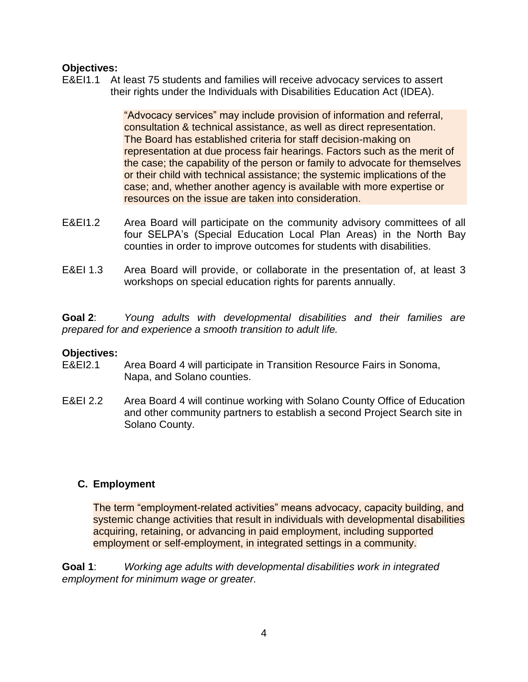E&EI1.1 At least 75 students and families will receive advocacy services to assert their rights under the Individuals with Disabilities Education Act (IDEA).

> "Advocacy services" may include provision of information and referral, consultation & technical assistance, as well as direct representation. The Board has established criteria for staff decision-making on representation at due process fair hearings. Factors such as the merit of the case; the capability of the person or family to advocate for themselves or their child with technical assistance; the systemic implications of the case; and, whether another agency is available with more expertise or resources on the issue are taken into consideration.

- E&EI1.2 Area Board will participate on the community advisory committees of all four SELPA's (Special Education Local Plan Areas) in the North Bay counties in order to improve outcomes for students with disabilities.
- E&EI 1.3 Area Board will provide, or collaborate in the presentation of, at least 3 workshops on special education rights for parents annually.

**Goal 2**: *Young adults with developmental disabilities and their families are prepared for and experience a smooth transition to adult life.*

#### **Objectives:**

- E&EI2.1 Area Board 4 will participate in Transition Resource Fairs in Sonoma, Napa, and Solano counties.
- E&EI 2.2 Area Board 4 will continue working with Solano County Office of Education and other community partners to establish a second Project Search site in Solano County.

#### **C. Employment**

The term "employment-related activities" means advocacy, capacity building, and systemic change activities that result in individuals with developmental disabilities acquiring, retaining, or advancing in paid employment, including supported employment or self-employment, in integrated settings in a community.

**Goal 1**: *Working age adults with developmental disabilities work in integrated employment for minimum wage or greater.*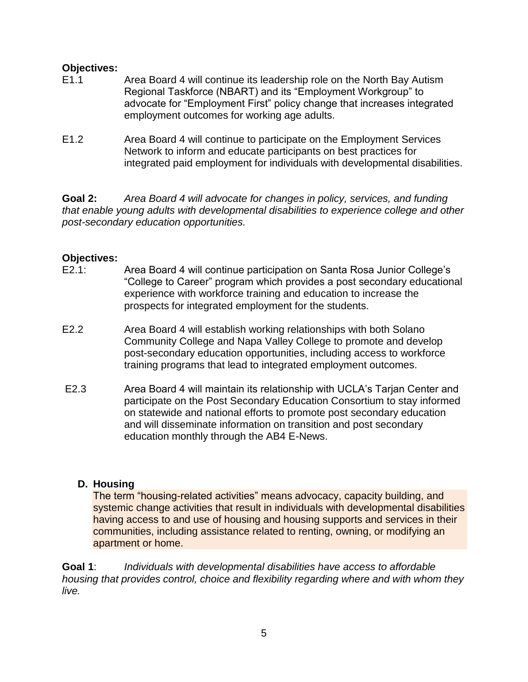- E1.1 Area Board 4 will continue its leadership role on the North Bay Autism Regional Taskforce (NBART) and its "Employment Workgroup" to advocate for "Employment First" policy change that increases integrated employment outcomes for working age adults.
- E1.2 Area Board 4 will continue to participate on the Employment Services Network to inform and educate participants on best practices for integrated paid employment for individuals with developmental disabilities.

**Goal 2:** *Area Board 4 will advocate for changes in policy, services, and funding that enable young adults with developmental disabilities to experience college and other post-secondary education opportunities.* 

#### **Objectives:**

- E2.1: Area Board 4 will continue participation on Santa Rosa Junior College"s "College to Career" program which provides a post secondary educational experience with workforce training and education to increase the prospects for integrated employment for the students.
- E2.2 Area Board 4 will establish working relationships with both Solano Community College and Napa Valley College to promote and develop post-secondary education opportunities, including access to workforce training programs that lead to integrated employment outcomes.
- E2.3 Area Board 4 will maintain its relationship with UCLA"s Tarjan Center and participate on the Post Secondary Education Consortium to stay informed on statewide and national efforts to promote post secondary education and will disseminate information on transition and post secondary education monthly through the AB4 E-News.

#### **D. Housing**

The term "housing-related activities" means advocacy, capacity building, and systemic change activities that result in individuals with developmental disabilities having access to and use of housing and housing supports and services in their communities, including assistance related to renting, owning, or modifying an apartment or home.

**Goal 1**: *Individuals with developmental disabilities have access to affordable housing that provides control, choice and flexibility regarding where and with whom they live.*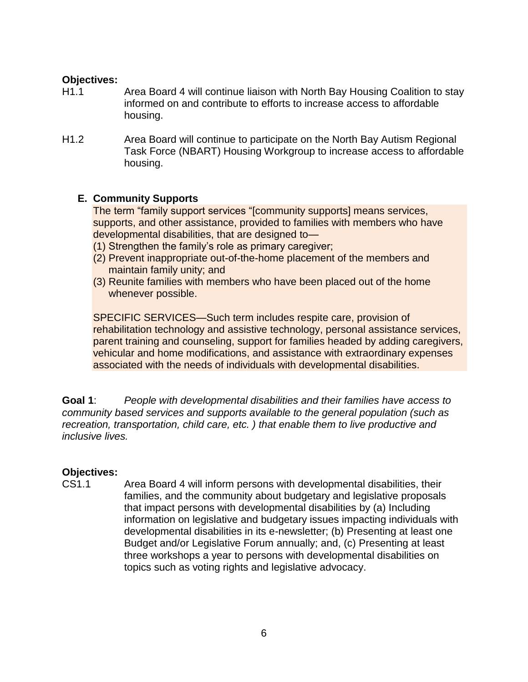- H1.1 Area Board 4 will continue liaison with North Bay Housing Coalition to stay informed on and contribute to efforts to increase access to affordable housing.
- H1.2 Area Board will continue to participate on the North Bay Autism Regional Task Force (NBART) Housing Workgroup to increase access to affordable housing.

#### **E. Community Supports**

The term "family support services "[community supports] means services, supports, and other assistance, provided to families with members who have developmental disabilities, that are designed to—

- (1) Strengthen the family"s role as primary caregiver;
- (2) Prevent inappropriate out-of-the-home placement of the members and maintain family unity; and
- (3) Reunite families with members who have been placed out of the home whenever possible.

SPECIFIC SERVICES—Such term includes respite care, provision of rehabilitation technology and assistive technology, personal assistance services, parent training and counseling, support for families headed by adding caregivers, vehicular and home modifications, and assistance with extraordinary expenses associated with the needs of individuals with developmental disabilities.

**Goal 1**: *People with developmental disabilities and their families have access to community based services and supports available to the general population (such as recreation, transportation, child care, etc. ) that enable them to live productive and inclusive lives.* 

#### **Objectives:**

CS1.1 Area Board 4 will inform persons with developmental disabilities, their families, and the community about budgetary and legislative proposals that impact persons with developmental disabilities by (a) Including information on legislative and budgetary issues impacting individuals with developmental disabilities in its e-newsletter; (b) Presenting at least one Budget and/or Legislative Forum annually; and, (c) Presenting at least three workshops a year to persons with developmental disabilities on topics such as voting rights and legislative advocacy.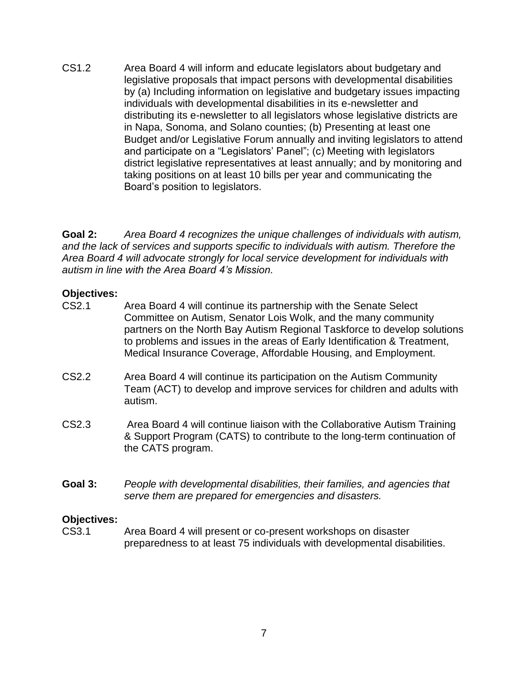CS1.2 Area Board 4 will inform and educate legislators about budgetary and legislative proposals that impact persons with developmental disabilities by (a) Including information on legislative and budgetary issues impacting individuals with developmental disabilities in its e-newsletter and distributing its e-newsletter to all legislators whose legislative districts are in Napa, Sonoma, and Solano counties; (b) Presenting at least one Budget and/or Legislative Forum annually and inviting legislators to attend and participate on a "Legislators" Panel"; (c) Meeting with legislators district legislative representatives at least annually; and by monitoring and taking positions on at least 10 bills per year and communicating the Board"s position to legislators.

**Goal 2:** *Area Board 4 recognizes the unique challenges of individuals with autism, and the lack of services and supports specific to individuals with autism. Therefore the Area Board 4 will advocate strongly for local service development for individuals with autism in line with the Area Board 4's Mission.*

#### **Objectives:**

- CS2.1 Area Board 4 will continue its partnership with the Senate Select Committee on Autism, Senator Lois Wolk, and the many community partners on the North Bay Autism Regional Taskforce to develop solutions to problems and issues in the areas of Early Identification & Treatment, Medical Insurance Coverage, Affordable Housing, and Employment.
- CS2.2 Area Board 4 will continue its participation on the Autism Community Team (ACT) to develop and improve services for children and adults with autism.
- CS2.3 Area Board 4 will continue liaison with the Collaborative Autism Training & Support Program (CATS) to contribute to the long-term continuation of the CATS program.
- **Goal 3:** *People with developmental disabilities, their families, and agencies that serve them are prepared for emergencies and disasters.*

# **Objectives:**

Area Board 4 will present or co-present workshops on disaster preparedness to at least 75 individuals with developmental disabilities.